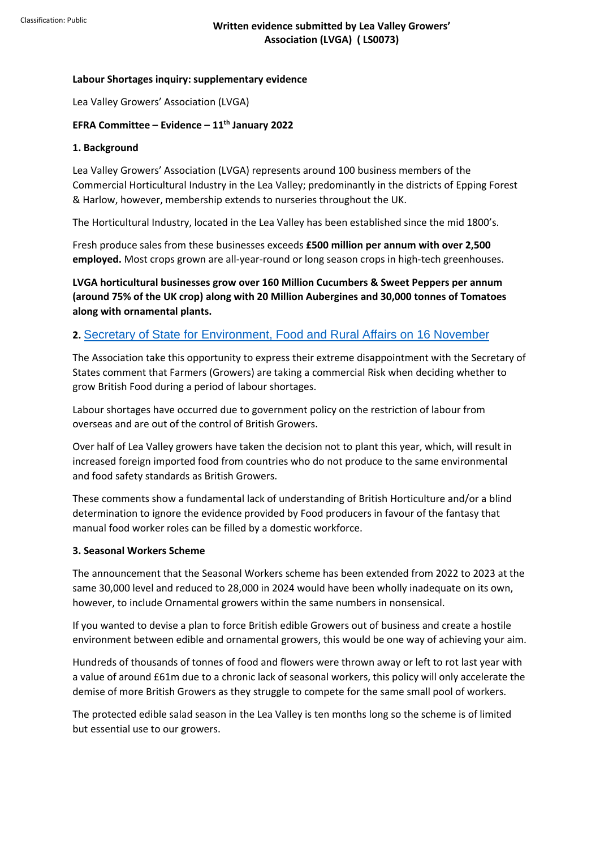## **Labour Shortages inquiry: supplementary evidence**

Lea Valley Growers' Association (LVGA)

### **EFRA Committee – Evidence – 11th January 2022**

### **1. Background**

Lea Valley Growers' Association (LVGA) represents around 100 business members of the Commercial Horticultural Industry in the Lea Valley; predominantly in the districts of Epping Forest & Harlow, however, membership extends to nurseries throughout the UK.

The Horticultural Industry, located in the Lea Valley has been established since the mid 1800's.

Fresh produce sales from these businesses exceeds **£500 million per annum with over 2,500 employed.** Most crops grown are all-year-round or long season crops in high-tech greenhouses.

**LVGA horticultural businesses grow over 160 Million Cucumbers & Sweet Peppers per annum (around 75% of the UK crop) along with 20 Million Aubergines and 30,000 tonnes of Tomatoes along with ornamental plants.**

## **2.** Secretary of State for Environment, Food and Rural Affairs on 16 November

T[he Association take this opportunity to express their extreme disappointment with the Secre](https://eur02.safelinks.protection.outlook.com/?url=https%3A%2F%2Fcommittees.parliament.uk%2Foralevidence%2F3020%2Fhtml%2F&data=04%7C01%7CLee_stiles%40nfumutual.co.uk%7C3da3116085814e13b31108d9d1b8f2c3%7C14893f4093e440c18c368a84aaa1c773%7C0%7C0%7C637771414543431456%7CUnknown%7CTWFpbGZsb3d8eyJWIjoiMC4wLjAwMDAiLCJQIjoiV2luMzIiLCJBTiI6Ik1haWwiLCJXVCI6Mn0%3D%7C3000&sdata=4Yf%2F24ZXbHlzPGQJhVqrIIw6s8KSOfdQjYQoSP7uWOg%3D&reserved=0)tary of States comment that Farmers (Growers) are taking a commercial Risk when deciding whether to grow British Food during a period of labour shortages.

Labour shortages have occurred due to government policy on the restriction of labour from overseas and are out of the control of British Growers.

Over half of Lea Valley growers have taken the decision not to plant this year, which, will result in increased foreign imported food from countries who do not produce to the same environmental and food safety standards as British Growers.

These comments show a fundamental lack of understanding of British Horticulture and/or a blind determination to ignore the evidence provided by Food producers in favour of the fantasy that manual food worker roles can be filled by a domestic workforce.

#### **3. Seasonal Workers Scheme**

The announcement that the Seasonal Workers scheme has been extended from 2022 to 2023 at the same 30,000 level and reduced to 28,000 in 2024 would have been wholly inadequate on its own, however, to include Ornamental growers within the same numbers in nonsensical.

If you wanted to devise a plan to force British edible Growers out of business and create a hostile environment between edible and ornamental growers, this would be one way of achieving your aim.

Hundreds of thousands of tonnes of food and flowers were thrown away or left to rot last year with a value of around £61m due to a chronic lack of seasonal workers, this policy will only accelerate the demise of more British Growers as they struggle to compete for the same small pool of workers.

The protected edible salad season in the Lea Valley is ten months long so the scheme is of limited but essential use to our growers.